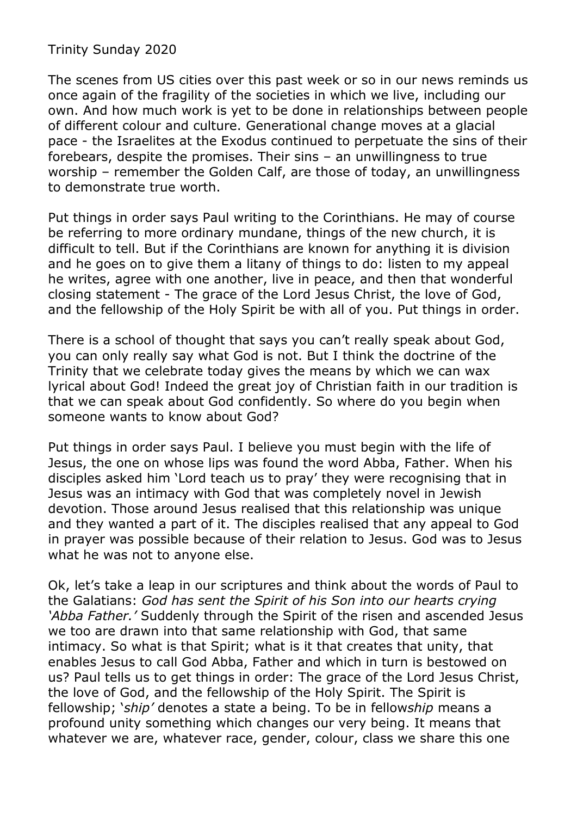Trinity Sunday 2020

The scenes from US cities over this past week or so in our news reminds us once again of the fragility of the societies in which we live, including our own. And how much work is yet to be done in relationships between people of different colour and culture. Generational change moves at a glacial pace - the Israelites at the Exodus continued to perpetuate the sins of their forebears, despite the promises. Their sins – an unwillingness to true worship – remember the Golden Calf, are those of today, an unwillingness to demonstrate true worth.

Put things in order says Paul writing to the Corinthians. He may of course be referring to more ordinary mundane, things of the new church, it is difficult to tell. But if the Corinthians are known for anything it is division and he goes on to give them a litany of things to do: listen to my appeal he writes, agree with one another, live in peace, and then that wonderful closing statement - The grace of the Lord Jesus Christ, the love of God, and the fellowship of the Holy Spirit be with all of you. Put things in order.

There is a school of thought that says you can't really speak about God, you can only really say what God is not. But I think the doctrine of the Trinity that we celebrate today gives the means by which we can wax lyrical about God! Indeed the great joy of Christian faith in our tradition is that we can speak about God confidently. So where do you begin when someone wants to know about God?

Put things in order says Paul. I believe you must begin with the life of Jesus, the one on whose lips was found the word Abba, Father. When his disciples asked him 'Lord teach us to pray' they were recognising that in Jesus was an intimacy with God that was completely novel in Jewish devotion. Those around Jesus realised that this relationship was unique and they wanted a part of it. The disciples realised that any appeal to God in prayer was possible because of their relation to Jesus. God was to Jesus what he was not to anyone else.

Ok, let's take a leap in our scriptures and think about the words of Paul to the Galatians: *God has sent the Spirit of his Son into our hearts crying 'Abba Father.'* Suddenly through the Spirit of the risen and ascended Jesus we too are drawn into that same relationship with God, that same intimacy. So what is that Spirit; what is it that creates that unity, that enables Jesus to call God Abba, Father and which in turn is bestowed on us? Paul tells us to get things in order: The grace of the Lord Jesus Christ, the love of God, and the fellowship of the Holy Spirit. The Spirit is fellowship; '*ship'* denotes a state a being. To be in fellow*ship* means a profound unity something which changes our very being. It means that whatever we are, whatever race, gender, colour, class we share this one